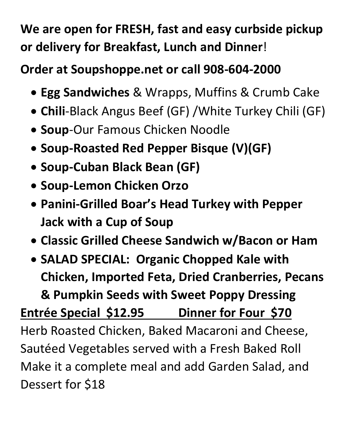## **We are open for FRESH, fast and easy curbside pickup or delivery for Breakfast, Lunch and Dinner**!

## **Order at Soupshoppe.net or call 908-604-2000**

- **Egg Sandwiches** & Wrapps, Muffins & Crumb Cake
- **Chili**-Black Angus Beef (GF) /White Turkey Chili (GF)
- **Soup**-Our Famous Chicken Noodle
- **Soup-Roasted Red Pepper Bisque (V)(GF)**
- **Soup-Cuban Black Bean (GF)**
- **Soup-Lemon Chicken Orzo**
- **Panini-Grilled Boar's Head Turkey with Pepper Jack with a Cup of Soup**
- **Classic Grilled Cheese Sandwich w/Bacon or Ham**
- **SALAD SPECIAL: Organic Chopped Kale with Chicken, Imported Feta, Dried Cranberries, Pecans & Pumpkin Seeds with Sweet Poppy Dressing**

## **Entrée Special \$12.95 Dinner for Four \$70**

Herb Roasted Chicken, Baked Macaroni and Cheese, Sautéed Vegetables served with a Fresh Baked Roll Make it a complete meal and add Garden Salad, and Dessert for \$18